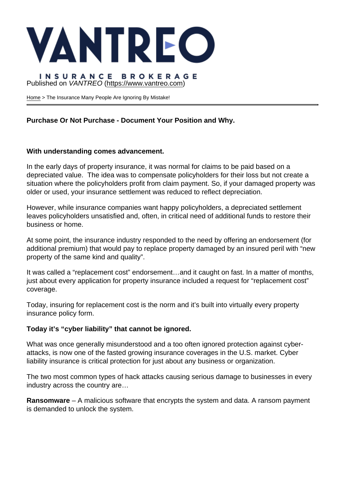## Published on VANTREO [\(https://www.vantreo.com](https://www.vantreo.com))

[Home](https://www.vantreo.com/) > The Insurance Many People Are Ignoring By Mistake!

Purchase Or Not Purchase - Document Your Position and Why.

With understanding comes advancement.

In the early days of property insurance, it was normal for claims to be paid based on a depreciated value. The idea was to compensate policyholders for their loss but not create a situation where the policyholders profit from claim payment. So, if your damaged property was older or used, your insurance settlement was reduced to reflect depreciation.

However, while insurance companies want happy policyholders, a depreciated settlement leaves policyholders unsatisfied and, often, in critical need of additional funds to restore their business or home.

At some point, the insurance industry responded to the need by offering an endorsement (for additional premium) that would pay to replace property damaged by an insured peril with "new property of the same kind and quality".

It was called a "replacement cost" endorsement…and it caught on fast. In a matter of months, just about every application for property insurance included a request for "replacement cost" coverage.

Today, insuring for replacement cost is the norm and it's built into virtually every property insurance policy form.

Today it's "cyber liability" that cannot be ignored.

What was once generally misunderstood and a too often ignored protection against cyberattacks, is now one of the fasted growing insurance coverages in the U.S. market. Cyber liability insurance is critical protection for just about any business or organization.

The two most common types of hack attacks causing serious damage to businesses in every industry across the country are…

Ransomware – A malicious software that encrypts the system and data. A ransom payment is demanded to unlock the system.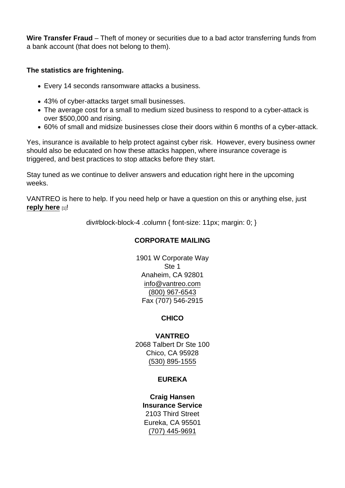Wire Transfer Fraud – Theft of money or securities due to a bad actor transferring funds from a bank account (that does not belong to them).

The statistics are frightening.

- Every 14 seconds ransomware attacks a business.
- 43% of cyber-attacks target small businesses.
- The average cost for a small to medium sized business to respond to a cyber-attack is over \$500,000 and rising.
- 60% of small and midsize businesses close their doors within 6 months of a cyber-attack.

Yes, insurance is available to help protect against cyber risk. However, every business owner should also be educated on how these attacks happen, where insurance coverage is triggered, and best practices to stop attacks before they start.

Stay tuned as we continue to deliver answers and education right here in the upcoming weeks.

VANTREO is here to help. If you need help or have a question on this or anything else, just reply here  $[1]$ !

div#block-block-4 .column { font-size: 11px; margin: 0; }

# CORPORATE MAILING

1901 W Corporate Way Ste 1 Anaheim, CA 92801 [info@vantreo.com](mailto:info@vantreo.com) [\(800\) 967-6543](tel:1-800-967-6543) Fax (707) 546-2915

**CHICO** 

VANTREO 2068 Talbert Dr Ste 100 Chico, CA 95928 [\(530\) 895-1555](tel:530-895-1555)

## EUREKA

Craig Hansen Insurance Service 2103 Third Street Eureka, CA 95501 [\(707\) 445-9691](tel:707-445-9691)